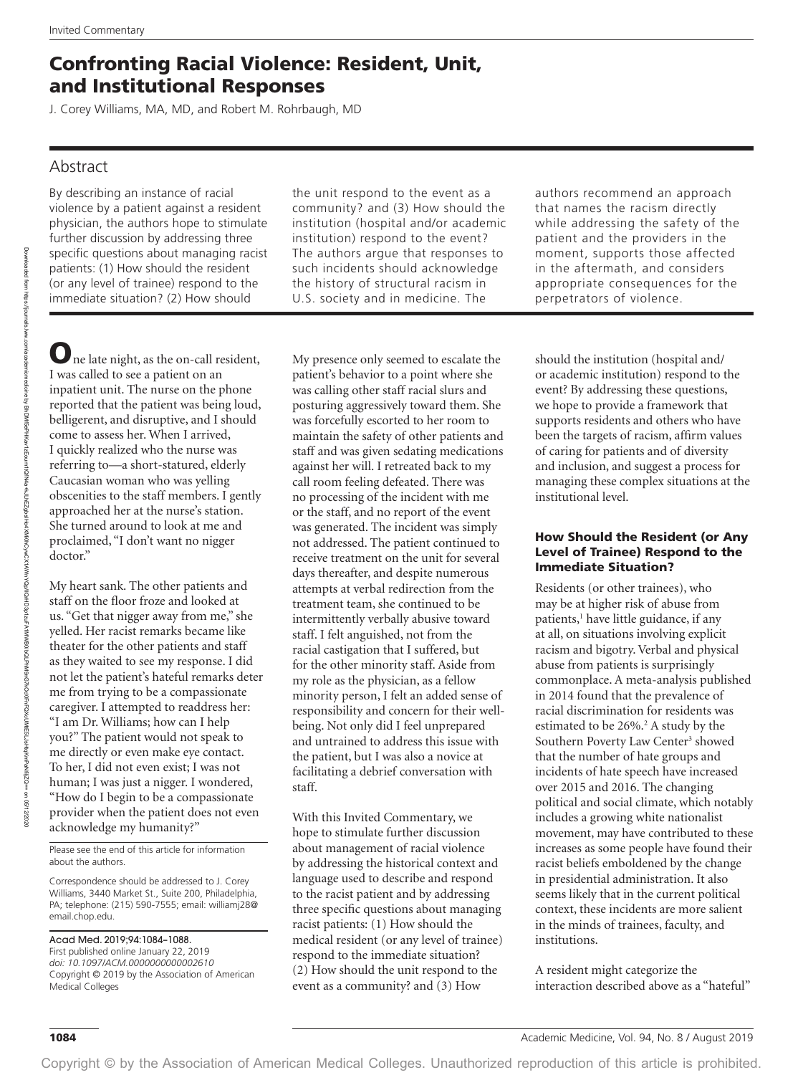# Confronting Racial Violence: Resident, Unit, and Institutional Responses

J. Corey Williams, MA, MD, and Robert M. Rohrbaugh, MD

# Abstract

By describing an instance of racial violence by a patient against a resident physician, the authors hope to stimulate further discussion by addressing three specific questions about managing racist patients: (1) How should the resident (or any level of trainee) respond to the immediate situation? (2) How should

the unit respond to the event as a community? and (3) How should the institution (hospital and/or academic institution) respond to the event? The authors argue that responses to such incidents should acknowledge the history of structural racism in U.S. society and in medicine. The

One late night, as the on-call resident, I was called to see a patient on an inpatient unit. The nurse on the phone reported that the patient was being loud, belligerent, and disruptive, and I should come to assess her. When I arrived, I quickly realized who the nurse was referring to—a short-statured, elderly Caucasian woman who was yelling obscenities to the staff members. I gently approached her at the nurse's station. She turned around to look at me and proclaimed, "I don't want no nigger doctor."

My heart sank. The other patients and staff on the floor froze and looked at us. "Get that nigger away from me," she yelled. Her racist remarks became like theater for the other patients and staff as they waited to see my response. I did not let the patient's hateful remarks deter me from trying to be a compassionate caregiver. I attempted to readdress her: "I am Dr. Williams; how can I help you?" The patient would not speak to me directly or even make eye contact. To her, I did not even exist; I was not human; I was just a nigger. I wondered, "How do I begin to be a compassionate provider when the patient does not even acknowledge my humanity?"

Please see the end of this article for information about the authors.

Correspondence should be addressed to J. Corey Williams, 3440 Market St., Suite 200, Philadelphia, PA; telephone: (215) 590-7555; email: [williamj28@](mailto:williamj28@email.chop.edu) [email.chop.edu.](mailto:williamj28@email.chop.edu)

Acad Med. 2019;94:1084–1088. First published online January 22, 2019 *doi: 10.1097/ACM.0000000000002610* Copyright © 2019 by the Association of American Medical Colleges

My presence only seemed to escalate the patient's behavior to a point where she was calling other staff racial slurs and posturing aggressively toward them. She was forcefully escorted to her room to maintain the safety of other patients and staff and was given sedating medications against her will. I retreated back to my call room feeling defeated. There was no processing of the incident with me or the staff, and no report of the event was generated. The incident was simply not addressed. The patient continued to receive treatment on the unit for several days thereafter, and despite numerous attempts at verbal redirection from the treatment team, she continued to be intermittently verbally abusive toward staff. I felt anguished, not from the racial castigation that I suffered, but for the other minority staff. Aside from my role as the physician, as a fellow minority person, I felt an added sense of responsibility and concern for their wellbeing. Not only did I feel unprepared and untrained to address this issue with the patient, but I was also a novice at facilitating a debrief conversation with staff.

With this Invited Commentary, we hope to stimulate further discussion about management of racial violence by addressing the historical context and language used to describe and respond to the racist patient and by addressing three specific questions about managing racist patients: (1) How should the medical resident (or any level of trainee) respond to the immediate situation? (2) How should the unit respond to the event as a community? and (3) How

authors recommend an approach that names the racism directly while addressing the safety of the patient and the providers in the moment, supports those affected in the aftermath, and considers appropriate consequences for the perpetrators of violence.

should the institution (hospital and/ or academic institution) respond to the event? By addressing these questions, we hope to provide a framework that supports residents and others who have been the targets of racism, affirm values of caring for patients and of diversity and inclusion, and suggest a process for managing these complex situations at the institutional level.

#### How Should the Resident (or Any Level of Trainee) Respond to the Immediate Situation?

Residents (or other trainees), who may be at higher risk of abuse from patients,<sup>1</sup> have little guidance, if any at all, on situations involving explicit racism and bigotry. Verbal and physical abuse from patients is surprisingly commonplace. A meta-analysis published in 2014 found that the prevalence of racial discrimination for residents was estimated to be 26%.<sup>2</sup> A study by the Southern Poverty Law Center<sup>3</sup> showed that the number of hate groups and incidents of hate speech have increased over 2015 and 2016. The changing political and social climate, which notably includes a growing white nationalist movement, may have contributed to these increases as some people have found their racist beliefs emboldened by the change in presidential administration. It also seems likely that in the current political context, these incidents are more salient in the minds of trainees, faculty, and institutions.

A resident might categorize the interaction described above as a "hateful"

Copyright © by the Association of American Medical Colleges. Unauthorized reproduction of this article is prohibited.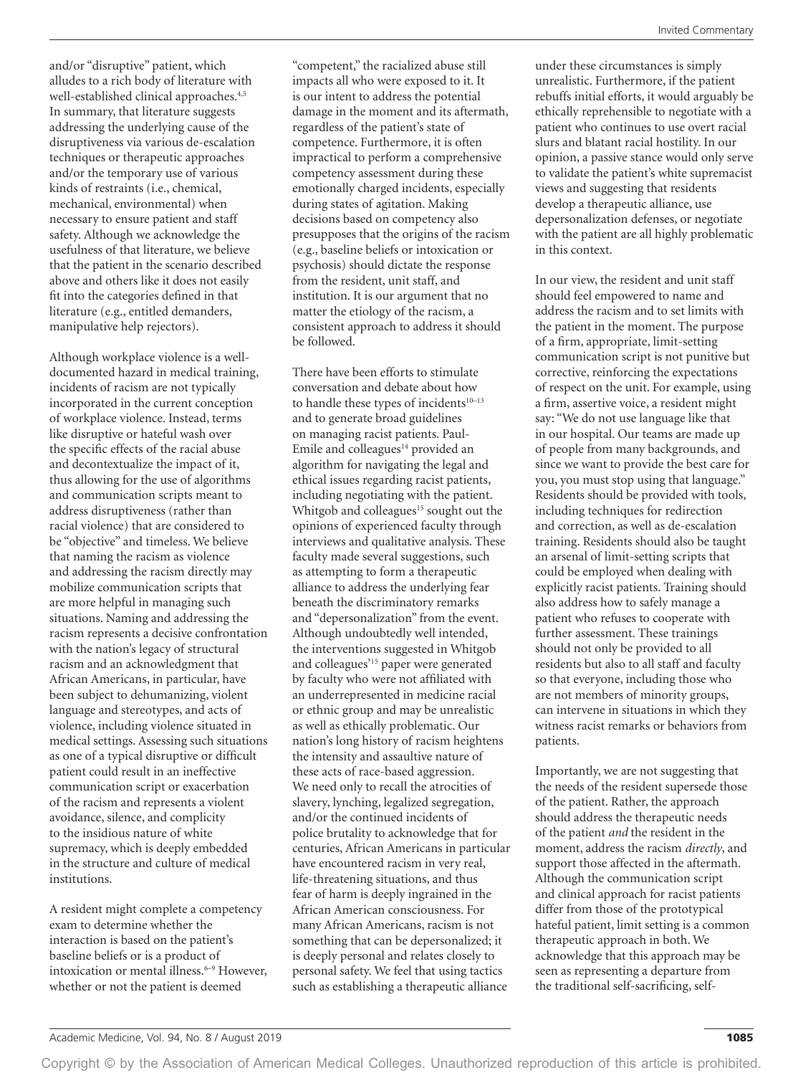and/or "disruptive" patient, which alludes to a rich body of literature with well-established clinical approaches.<sup>4,5</sup> In summary, that literature suggests addressing the underlying cause of the disruptiveness via various de-escalation techniques or therapeutic approaches and/or the temporary use of various kinds of restraints (i.e., chemical, mechanical, environmental) when necessary to ensure patient and staff safety. Although we acknowledge the usefulness of that literature, we believe that the patient in the scenario described above and others like it does not easily fit into the categories defined in that literature (e.g., entitled demanders, manipulative help rejectors).

Although workplace violence is a welldocumented hazard in medical training, incidents of racism are not typically incorporated in the current conception of workplace violence. Instead, terms like disruptive or hateful wash over the specific effects of the racial abuse and decontextualize the impact of it, thus allowing for the use of algorithms and communication scripts meant to address disruptiveness (rather than racial violence) that are considered to be "objective" and timeless. We believe that naming the racism as violence and addressing the racism directly may mobilize communication scripts that are more helpful in managing such situations. Naming and addressing the racism represents a decisive confrontation with the nation's legacy of structural racism and an acknowledgment that African Americans, in particular, have been subject to dehumanizing, violent language and stereotypes, and acts of violence, including violence situated in medical settings. Assessing such situations as one of a typical disruptive or difficult patient could result in an ineffective communication script or exacerbation of the racism and represents a violent avoidance, silence, and complicity to the insidious nature of white supremacy, which is deeply embedded in the structure and culture of medical institutions.

A resident might complete a competency exam to determine whether the interaction is based on the patient's baseline beliefs or is a product of intoxication or mental illness.<sup>6-9</sup> However, whether or not the patient is deemed

"competent," the racialized abuse still impacts all who were exposed to it. It is our intent to address the potential damage in the moment and its aftermath, regardless of the patient's state of competence. Furthermore, it is often impractical to perform a comprehensive competency assessment during these emotionally charged incidents, especially during states of agitation. Making decisions based on competency also presupposes that the origins of the racism (e.g., baseline beliefs or intoxication or psychosis) should dictate the response from the resident, unit staff, and institution. It is our argument that no matter the etiology of the racism, a consistent approach to address it should be followed.

There have been efforts to stimulate conversation and debate about how to handle these types of incidents<sup>10-13</sup> and to generate broad guidelines on managing racist patients. Paul-Emile and colleagues<sup>14</sup> provided an algorithm for navigating the legal and ethical issues regarding racist patients, including negotiating with the patient. Whitgob and colleagues $15$  sought out the opinions of experienced faculty through interviews and qualitative analysis. These faculty made several suggestions, such as attempting to form a therapeutic alliance to address the underlying fear beneath the discriminatory remarks and "depersonalization" from the event. Although undoubtedly well intended, the interventions suggested in Whitgob and colleagues'15 paper were generated by faculty who were not affiliated with an underrepresented in medicine racial or ethnic group and may be unrealistic as well as ethically problematic. Our nation's long history of racism heightens the intensity and assaultive nature of these acts of race-based aggression. We need only to recall the atrocities of slavery, lynching, legalized segregation, and/or the continued incidents of police brutality to acknowledge that for centuries, African Americans in particular have encountered racism in very real, life-threatening situations, and thus fear of harm is deeply ingrained in the African American consciousness. For many African Americans, racism is not something that can be depersonalized; it is deeply personal and relates closely to personal safety. We feel that using tactics such as establishing a therapeutic alliance

under these circumstances is simply unrealistic. Furthermore, if the patient rebuffs initial efforts, it would arguably be ethically reprehensible to negotiate with a patient who continues to use overt racial slurs and blatant racial hostility. In our opinion, a passive stance would only serve to validate the patient's white supremacist views and suggesting that residents develop a therapeutic alliance, use depersonalization defenses, or negotiate with the patient are all highly problematic in this context.

In our view, the resident and unit staff should feel empowered to name and address the racism and to set limits with the patient in the moment. The purpose of a firm, appropriate, limit-setting communication script is not punitive but corrective, reinforcing the expectations of respect on the unit. For example, using a firm, assertive voice, a resident might say: "We do not use language like that in our hospital. Our teams are made up of people from many backgrounds, and since we want to provide the best care for you, you must stop using that language." Residents should be provided with tools, including techniques for redirection and correction, as well as de-escalation training. Residents should also be taught an arsenal of limit-setting scripts that could be employed when dealing with explicitly racist patients. Training should also address how to safely manage a patient who refuses to cooperate with further assessment. These trainings should not only be provided to all residents but also to all staff and faculty so that everyone, including those who are not members of minority groups, can intervene in situations in which they witness racist remarks or behaviors from patients.

Importantly, we are not suggesting that the needs of the resident supersede those of the patient. Rather, the approach should address the therapeutic needs of the patient *and* the resident in the moment, address the racism *directly*, and support those affected in the aftermath. Although the communication script and clinical approach for racist patients differ from those of the prototypical hateful patient, limit setting is a common therapeutic approach in both. We acknowledge that this approach may be seen as representing a departure from the traditional self-sacrificing, self-

Copyright © by the Association of American Medical Colleges. Unauthorized reproduction of this article is prohibited.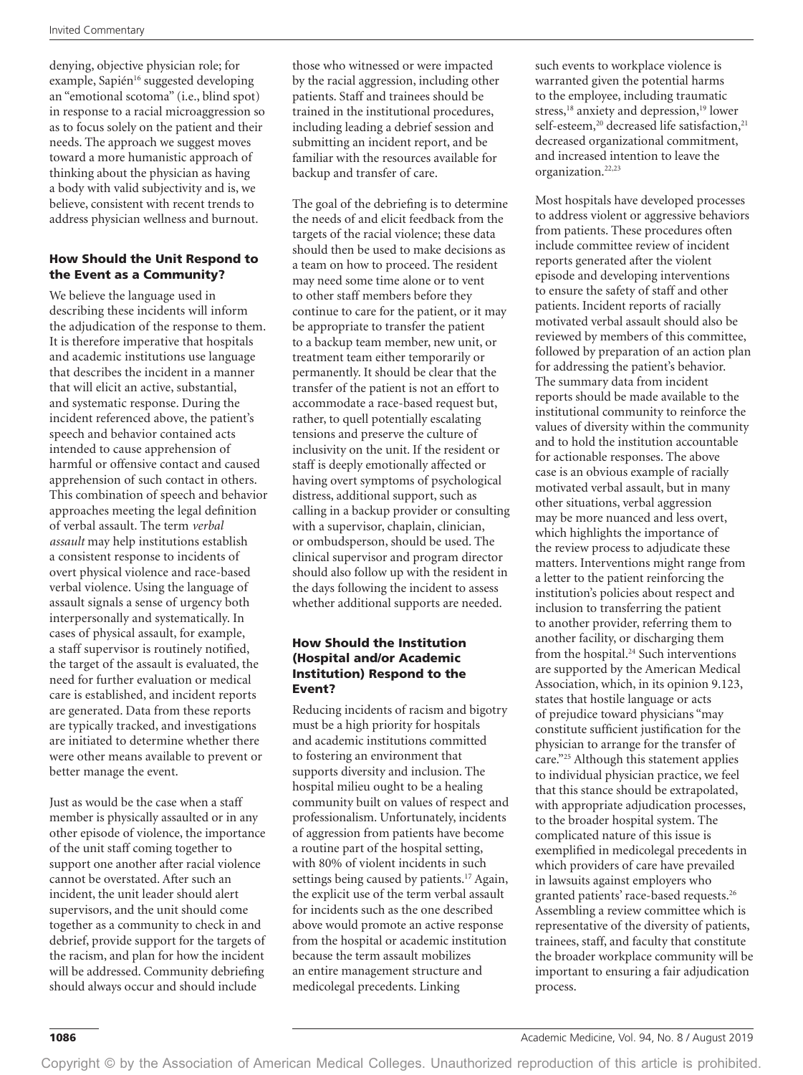denying, objective physician role; for example, Sapién<sup>16</sup> suggested developing an "emotional scotoma" (i.e., blind spot) in response to a racial microaggression so as to focus solely on the patient and their needs. The approach we suggest moves toward a more humanistic approach of thinking about the physician as having a body with valid subjectivity and is, we believe, consistent with recent trends to address physician wellness and burnout.

# How Should the Unit Respond to the Event as a Community?

We believe the language used in describing these incidents will inform the adjudication of the response to them. It is therefore imperative that hospitals and academic institutions use language that describes the incident in a manner that will elicit an active, substantial, and systematic response. During the incident referenced above, the patient's speech and behavior contained acts intended to cause apprehension of harmful or offensive contact and caused apprehension of such contact in others. This combination of speech and behavior approaches meeting the legal definition of verbal assault. The term *verbal assault* may help institutions establish a consistent response to incidents of overt physical violence and race-based verbal violence. Using the language of assault signals a sense of urgency both interpersonally and systematically. In cases of physical assault, for example, a staff supervisor is routinely notified, the target of the assault is evaluated, the need for further evaluation or medical care is established, and incident reports are generated. Data from these reports are typically tracked, and investigations are initiated to determine whether there were other means available to prevent or better manage the event.

Just as would be the case when a staff member is physically assaulted or in any other episode of violence, the importance of the unit staff coming together to support one another after racial violence cannot be overstated. After such an incident, the unit leader should alert supervisors, and the unit should come together as a community to check in and debrief, provide support for the targets of the racism, and plan for how the incident will be addressed. Community debriefing should always occur and should include

those who witnessed or were impacted by the racial aggression, including other patients. Staff and trainees should be trained in the institutional procedures, including leading a debrief session and submitting an incident report, and be familiar with the resources available for backup and transfer of care.

The goal of the debriefing is to determine the needs of and elicit feedback from the targets of the racial violence; these data should then be used to make decisions as a team on how to proceed. The resident may need some time alone or to vent to other staff members before they continue to care for the patient, or it may be appropriate to transfer the patient to a backup team member, new unit, or treatment team either temporarily or permanently. It should be clear that the transfer of the patient is not an effort to accommodate a race-based request but, rather, to quell potentially escalating tensions and preserve the culture of inclusivity on the unit. If the resident or staff is deeply emotionally affected or having overt symptoms of psychological distress, additional support, such as calling in a backup provider or consulting with a supervisor, chaplain, clinician, or ombudsperson, should be used. The clinical supervisor and program director should also follow up with the resident in the days following the incident to assess whether additional supports are needed.

### How Should the Institution (Hospital and/or Academic Institution) Respond to the Event?

Reducing incidents of racism and bigotry must be a high priority for hospitals and academic institutions committed to fostering an environment that supports diversity and inclusion. The hospital milieu ought to be a healing community built on values of respect and professionalism. Unfortunately, incidents of aggression from patients have become a routine part of the hospital setting, with 80% of violent incidents in such settings being caused by patients.<sup>17</sup> Again, the explicit use of the term verbal assault for incidents such as the one described above would promote an active response from the hospital or academic institution because the term assault mobilizes an entire management structure and medicolegal precedents. Linking

such events to workplace violence is warranted given the potential harms to the employee, including traumatic stress,<sup>18</sup> anxiety and depression,<sup>19</sup> lower self-esteem,<sup>20</sup> decreased life satisfaction,<sup>21</sup> decreased organizational commitment, and increased intention to leave the organization.22,23

Most hospitals have developed processes to address violent or aggressive behaviors from patients. These procedures often include committee review of incident reports generated after the violent episode and developing interventions to ensure the safety of staff and other patients. Incident reports of racially motivated verbal assault should also be reviewed by members of this committee, followed by preparation of an action plan for addressing the patient's behavior. The summary data from incident reports should be made available to the institutional community to reinforce the values of diversity within the community and to hold the institution accountable for actionable responses. The above case is an obvious example of racially motivated verbal assault, but in many other situations, verbal aggression may be more nuanced and less overt, which highlights the importance of the review process to adjudicate these matters. Interventions might range from a letter to the patient reinforcing the institution's policies about respect and inclusion to transferring the patient to another provider, referring them to another facility, or discharging them from the hospital.<sup>24</sup> Such interventions are supported by the American Medical Association, which, in its opinion 9.123, states that hostile language or acts of prejudice toward physicians "may constitute sufficient justification for the physician to arrange for the transfer of care."25 Although this statement applies to individual physician practice, we feel that this stance should be extrapolated, with appropriate adjudication processes, to the broader hospital system. The complicated nature of this issue is exemplified in medicolegal precedents in which providers of care have prevailed in lawsuits against employers who granted patients' race-based requests.26 Assembling a review committee which is representative of the diversity of patients, trainees, staff, and faculty that constitute the broader workplace community will be important to ensuring a fair adjudication process.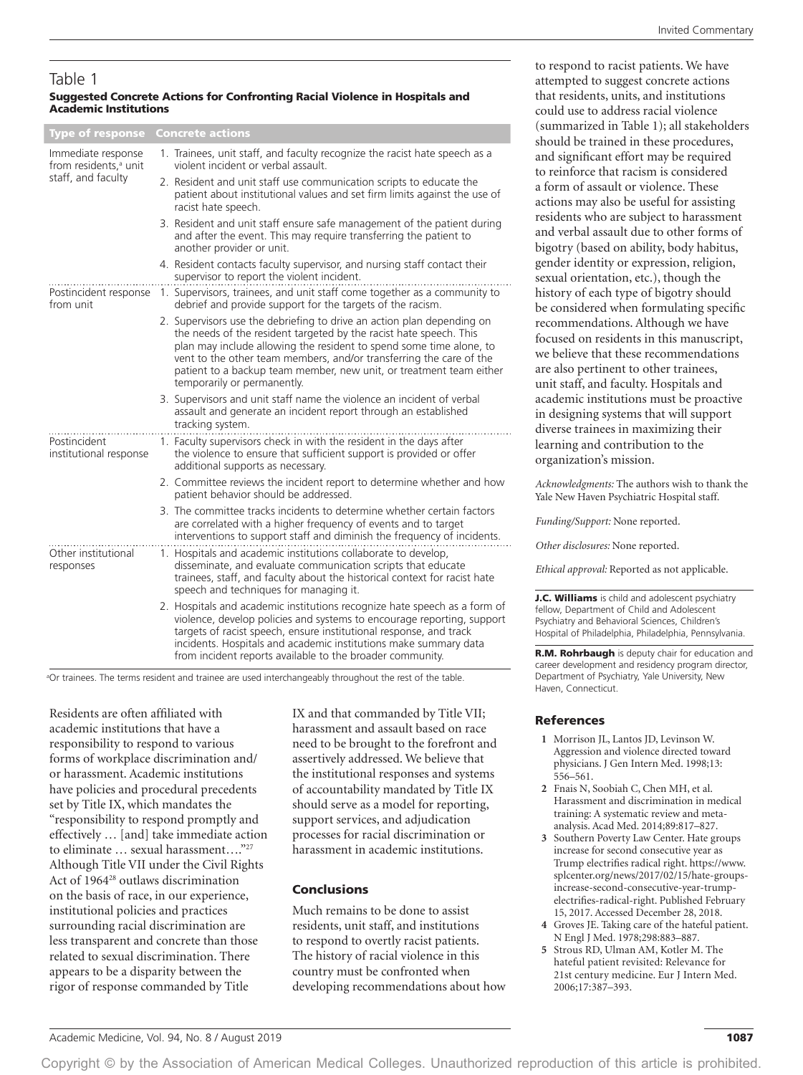#### Table 1 Suggested Concrete Actions for Confronting Racial Violence in Hospitals and Academic Institutions

Type of response Concrete actions Immediate response 1. Trainees, unit staff, and faculty recognize the racist hate speech as a violent incident or verbal assault. from residents,<sup>a</sup> unit staff, and faculty 2. Resident and unit staff use communication scripts to educate the patient about institutional values and set firm limits against the use of racist hate speech. 3. Resident and unit staff ensure safe management of the patient during and after the event. This may require transferring the patient to another provider or unit. 4. Resident contacts faculty supervisor, and nursing staff contact their supervisor to report the violent incident. Postincident response 1. Supervisors, trainees, and unit staff come together as a community to debrief and provide support for the targets of the racism. from unit 2. Supervisors use the debriefing to drive an action plan depending on the needs of the resident targeted by the racist hate speech. This plan may include allowing the resident to spend some time alone, to vent to the other team members, and/or transferring the care of the patient to a backup team member, new unit, or treatment team either temporarily or permanently. 3. Supervisors and unit staff name the violence an incident of verbal assault and generate an incident report through an established tracking system. Postincident 1. Faculty supervisors check in with the resident in the days after the violence to ensure that sufficient support is provided or offer institutional response additional supports as necessary. 2. Committee reviews the incident report to determine whether and how patient behavior should be addressed. 3. The committee tracks incidents to determine whether certain factors are correlated with a higher frequency of events and to target

interventions to support staff and diminish the frequency of incidents. Other institutional responses 1. Hospitals and academic institutions collaborate to develop, disseminate, and evaluate communication scripts that educate trainees, staff, and faculty about the historical context for racist hate speech and techniques for managing it. 2. Hospitals and academic institutions recognize hate speech as a form of

violence, develop policies and systems to encourage reporting, support targets of racist speech, ensure institutional response, and track incidents. Hospitals and academic institutions make summary data from incident reports available to the broader community.

a Or trainees. The terms resident and trainee are used interchangeably throughout the rest of the table.

Residents are often affiliated with academic institutions that have a responsibility to respond to various forms of workplace discrimination and/ or harassment. Academic institutions have policies and procedural precedents set by Title IX, which mandates the "responsibility to respond promptly and effectively … [and] take immediate action to eliminate … sexual harassment…."27 Although Title VII under the Civil Rights Act of 1964<sup>28</sup> outlaws discrimination on the basis of race, in our experience, institutional policies and practices surrounding racial discrimination are less transparent and concrete than those related to sexual discrimination. There appears to be a disparity between the rigor of response commanded by Title

IX and that commanded by Title VII; harassment and assault based on race need to be brought to the forefront and assertively addressed. We believe that the institutional responses and systems of accountability mandated by Title IX should serve as a model for reporting, support services, and adjudication processes for racial discrimination or harassment in academic institutions.

## Conclusions

Much remains to be done to assist residents, unit staff, and institutions to respond to overtly racist patients. The history of racial violence in this country must be confronted when developing recommendations about how to respond to racist patients. We have attempted to suggest concrete actions that residents, units, and institutions could use to address racial violence (summarized in Table 1); all stakeholders should be trained in these procedures, and significant effort may be required to reinforce that racism is considered a form of assault or violence. These actions may also be useful for assisting residents who are subject to harassment and verbal assault due to other forms of bigotry (based on ability, body habitus, gender identity or expression, religion, sexual orientation, etc.), though the history of each type of bigotry should be considered when formulating specific recommendations. Although we have focused on residents in this manuscript, we believe that these recommendations are also pertinent to other trainees, unit staff, and faculty. Hospitals and academic institutions must be proactive in designing systems that will support diverse trainees in maximizing their learning and contribution to the organization's mission.

*Acknowledgments:* The authors wish to thank the Yale New Haven Psychiatric Hospital staff.

*Funding/Support:* None reported.

*Other disclosures:* None reported.

*Ethical approval:* Reported as not applicable.

J.C. Williams is child and adolescent psychiatry fellow, Department of Child and Adolescent Psychiatry and Behavioral Sciences, Children's Hospital of Philadelphia, Philadelphia, Pennsylvania.

R.M. Rohrbaugh is deputy chair for education and career development and residency program director, Department of Psychiatry, Yale University, New Haven, Connecticut.

#### References

- **1** Morrison JL, Lantos JD, Levinson W. Aggression and violence directed toward physicians. J Gen Intern Med. 1998;13: 556–561.
- **2** Fnais N, Soobiah C, Chen MH, et al. Harassment and discrimination in medical training: A systematic review and metaanalysis. Acad Med. 2014;89:817–827.
- **3** Southern Poverty Law Center. Hate groups increase for second consecutive year as Trump electrifies radical right. [https://www.](https://www.splcenter.org/news/2017/02/15/hate-groups-increase-second-consecutive-year-trump-electrifies-radical-right) [splcenter.org/news/2017/02/15/hate-groups](https://www.splcenter.org/news/2017/02/15/hate-groups-increase-second-consecutive-year-trump-electrifies-radical-right)[increase-second-consecutive-year-trump](https://www.splcenter.org/news/2017/02/15/hate-groups-increase-second-consecutive-year-trump-electrifies-radical-right)[electrifies-radical-right](https://www.splcenter.org/news/2017/02/15/hate-groups-increase-second-consecutive-year-trump-electrifies-radical-right). Published February 15, 2017. Accessed December 28, 2018.
- **4** Groves JE. Taking care of the hateful patient. N Engl J Med. 1978;298:883–887.
- **5** Strous RD, Ulman AM, Kotler M. The hateful patient revisited: Relevance for 21st century medicine. Eur J Intern Med. 2006;17:387–393.

Copyright © by the Association of American Medical Colleges. Unauthorized reproduction of this article is prohibited.